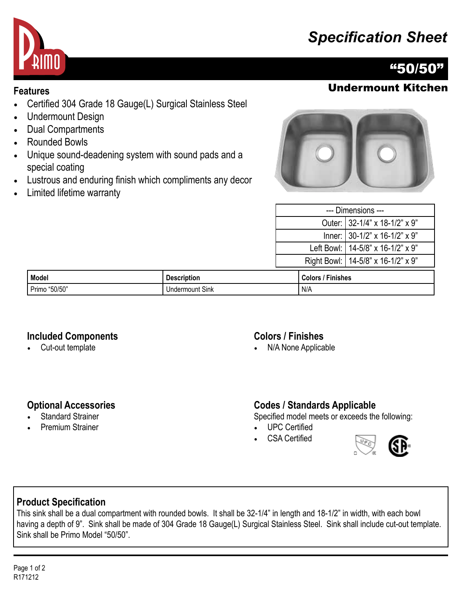# *Specification Sheet*



# "50/50"

## **Features** Undermount Kitchen

- Certified 304 Grade 18 Gauge(L) Surgical Stainless Steel
- Undermount Design
- Dual Compartments
- Rounded Bowls
- Unique sound-deadening system with sound pads and a special coating
- Lustrous and enduring finish which compliments any decor
- Limited lifetime warranty



| --- Dimensions --- |                                      |  |
|--------------------|--------------------------------------|--|
|                    | Outer: 32-1/4" x 18-1/2" x 9"        |  |
|                    | Inner: 30-1/2" x 16-1/2" x 9"        |  |
|                    | Left Bowl:   14-5/8" x 16-1/2" x 9"  |  |
|                    | Right Bowl:   14-5/8" x 16-1/2" x 9" |  |
|                    |                                      |  |

| Model                              | <b>Description</b>   | - -<br><b>Finishes</b><br>⊶olor س |
|------------------------------------|----------------------|-----------------------------------|
| "50/50"<br>$\sim$ $\cdot$<br>Primo | Sink<br>Undermount ' | ` N/A                             |

#### **Included Components**

• Cut-out template

#### **Colors / Finishes**

• N/A None Applicable

#### **Optional Accessories**

- Standard Strainer
- Premium Strainer

### **Codes / Standards Applicable**

Specified model meets or exceeds the following:

- UPC Certified
- CSA Certified



## **Product Specification**

This sink shall be a dual compartment with rounded bowls. It shall be 32-1/4" in length and 18-1/2" in width, with each bowl having a depth of 9". Sink shall be made of 304 Grade 18 Gauge(L) Surgical Stainless Steel. Sink shall include cut-out template. Sink shall be Primo Model "50/50".